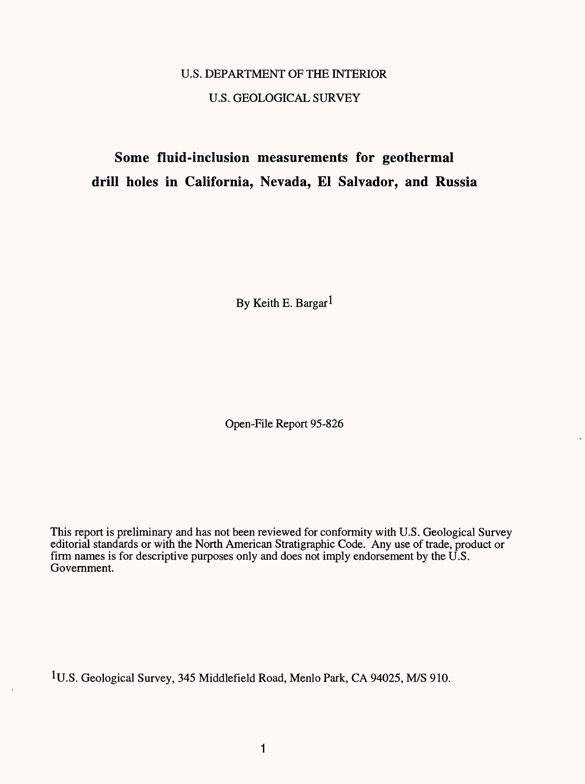# U.S. DEPARTMENT OF THE INTERIOR U.S. GEOLOGICAL SURVEY

# **Some fluid-inclusion measurements for geothermal drill holes in California, Nevada, £1 Salvador, and Russia**

By Keith E. Bargar<sup>1</sup>

Open-File Report 95-826

This report is preliminary and has not been reviewed for conformity with U.S. Geological Survey editorial standards or with the North American Stratigraphic Code. Any use of trade, product or firm names is for descriptive purposes only and does not imply endorsement by the  $\overline{U}$ .S. Government.

<sup>1</sup>U.S. Geological Survey, 345 Middlefield Road, Menlo Park, CA 94025, M/S 910.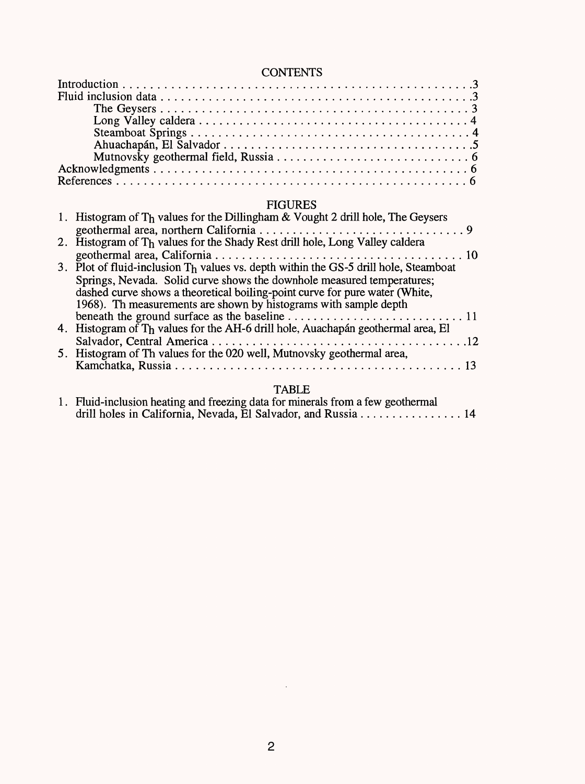# **CONTENTS**

| <b>CONTENTS</b> |
|-----------------|
|                 |
|                 |
|                 |
|                 |
|                 |
|                 |
|                 |
|                 |
|                 |

# FIGURES

| 1. Histogram of Th values for the Dillingham & Vought 2 drill hole, The Geysers      |
|--------------------------------------------------------------------------------------|
|                                                                                      |
| 2. Histogram of Th values for the Shady Rest drill hole, Long Valley caldera         |
|                                                                                      |
| 3. Plot of fluid-inclusion Th values vs. depth within the GS-5 drill hole, Steamboat |
| Springs, Nevada. Solid curve shows the downhole measured temperatures;               |
| dashed curve shows a theoretical boiling-point curve for pure water (White,          |
| 1968). Th measurements are shown by histograms with sample depth                     |
|                                                                                      |
| 4. Histogram of Th values for the AH-6 drill hole, Auachapán geothermal area, El     |
|                                                                                      |
| 5. Histogram of Th values for the 020 well, Mutnovsky geothermal area,               |
|                                                                                      |
|                                                                                      |

# TABLE

| 1. Fluid-inclusion heating and freezing data for minerals from a few geothermal            |
|--------------------------------------------------------------------------------------------|
| drill holes in California, Nevada, El Salvador, and Russia $\dots \dots \dots \dots \dots$ |

 $\mathcal{L}^{\text{max}}$  .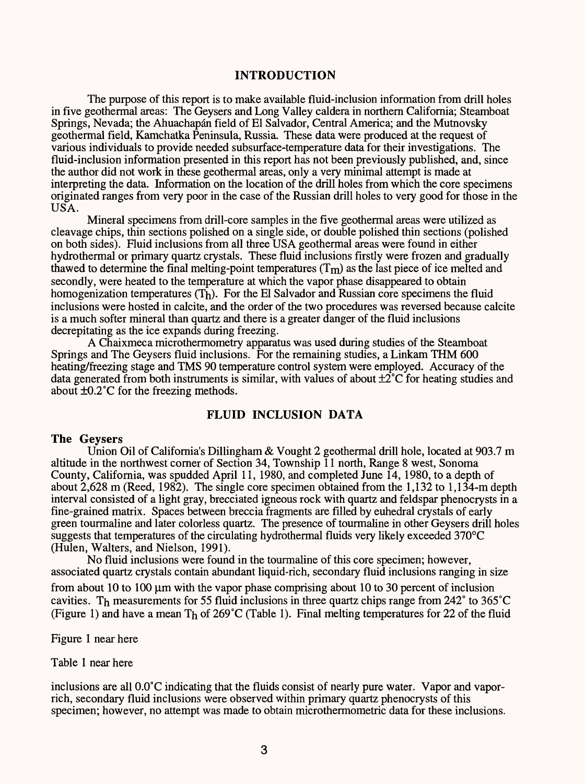#### **INTRODUCTION**

The purpose of this report is to make available fluid-inclusion information from drill holes in five geothermal areas: The Geysers and Long Valley caldera in northern California; Steamboat Springs, Nevada; the Ahuachapán field of El Salvador, Central America; and the Mutnovsky geothermal field, Kamchatka Peninsula, Russia. These data were produced at the request of various individuals to provide needed subsurface-temperature data for their investigations. The fluid-inclusion information presented in this report has not been previously published, and, since the author did not work in these geothermal areas, only a very minimal attempt is made at interpreting the data. Information on the location of the drill holes from which the core specimens originated ranges from very poor in the case of the Russian drill holes to very good for those in the USA.

Mineral specimens from drill-core samples in the five geothermal areas were utilized as cleavage chips, thin sections polished on a single side, or double polished thin sections (polished on both sides). Fluid inclusions from all three USA geothermal areas were found in either hydrothermal or primary quartz crystals. These fluid inclusions firstly were frozen and gradually thawed to determine the final melting-point temperatures  $(T_m)$  as the last piece of ice melted and secondly, were heated to the temperature at which the vapor phase disappeared to obtain homogenization temperatures  $(T_h)$ . For the El Salvador and Russian core specimens the fluid inclusions were hosted in calcite, and the order of the two procedures was reversed because calcite is a much softer mineral than quartz and there is a greater danger of the fluid inclusions decrepitating as the ice expands during freezing.

A Chaixmeca microthermometry apparatus was used during studies of the Steamboat Springs and The Geysers fluid inclusions. For the remaining studies, a Linkam THM 600 heating/freezing stage and TMS 90 temperature control system were employed. Accuracy of the data generated from both instruments is similar, with values of about  $\pm 2^{\circ}$ C for heating studies and about ±0.2°C for the freezing methods.

#### **FLUID INCLUSION DATA**

## **The Geysers**

Union Oil of California's Dillingham & Vought 2 geothermal drill hole, located at 903.7 m altitude in the northwest corner of Section 34, Township 11 north, Range 8 west, Sonoma County, California, was spudded April 11, 1980, and completed June 14, 1980, to a depth of about 2,628 m (Reed, 1982). The single core specimen obtained from the 1,132 to 1,134-m depth interval consisted of a light gray, brecciated igneous rock with quartz and feldspar phenocrysts in a fine-grained matrix. Spaces between breccia fragments are filled by euhedral crystals of early green tourmaline and later colorless quartz. The presence of tourmaline in other Geysers drill holes suggests that temperatures of the circulating hydrothermal fluids very likely exceeded 370°C (Hulen, Walters, and Nielson, 1991).

No fluid inclusions were found in the tourmaline of this core specimen; however, associated quartz crystals contain abundant liquid-rich, secondary fluid inclusions ranging in size from about 10 to 100  $\mu$ m with the vapor phase comprising about 10 to 30 percent of inclusion cavities. Th measurements for 55 fluid inclusions in three quartz chips range from  $242^{\circ}$  to  $365^{\circ}$ C (Figure 1) and have a mean  $T_h$  of 269°C (Table 1). Final melting temperatures for 22 of the fluid

Figure 1 near here

Table 1 near here

inclusions are all 0.0°C indicating that the fluids consist of nearly pure water. Vapor and vaporrich, secondary fluid inclusions were observed within primary quartz phenocrysts of this specimen; however, no attempt was made to obtain microthermometric data for these inclusions.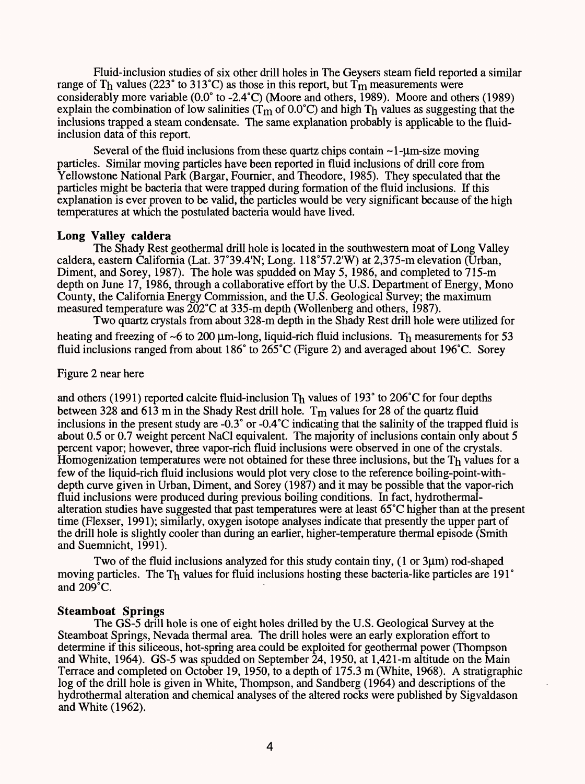Fluid-inclusion studies of six other drill holes in The Geysers steam field reported a similar range of Th values (223° to 313°C) as those in this report, but  $T_m$  measurements were considerably more variable (0.0° to -2.4°C) (Moore and others, 1989). Moore and others (1989) explain the combination of low salinities ( $T_m$  of 0.0°C) and high Th values as suggesting that the inclusions trapped a steam condensate. The same explanation probably is applicable to the fluidinclusion data of this report.

Several of the fluid inclusions from these quartz chips contain  $\sim$ 1- $\mu$ m-size moving particles. Similar moving particles have been reported in fluid inclusions of drill core from Yellowstone National Park (Bargar, Fournier, and Theodore, 1985). They speculated that the particles might be bacteria that were trapped during formation of the fluid inclusions. If this explanation is ever proven to be valid, the particles would be very significant because of the high temperatures at which the postulated bacteria would have lived.

#### **Long Valley caldera**

The Shady Rest geothermal drill hole is located in the southwestern moat of Long Valley caldera, eastern California (Lat. 37°39.4'N; Long. 118°57.2'W) at 2,375-m elevation (Urban, Diment, and Sorey, 1987). The hole was spudded on May 5, 1986, and completed to 715-m depth on June 17, 1986, through a collaborative effort by the U.S. Department of Energy, Mono County, the California Energy Commission, and the U.S. Geological Survey; the maximum measured temperature was  $202^{\circ}$ C at 335-m depth (Wollenberg and others, 1987).

Two quartz crystals from about 328-m depth in the Shady Rest drill hole were utilized for heating and freezing of ~6 to 200  $\mu$ m-long, liquid-rich fluid inclusions. The measurements for 53 fluid inclusions ranged from about 186° to 265°C (Figure 2) and averaged about 196°C. Sorey

#### Figure 2 near here

and others (1991) reported calcite fluid-inclusion Th values of 193° to 206°C for four depths between 328 and 613 m in the Shady Rest drill hole.  $T_m$  values for 28 of the quartz fluid inclusions in the present study are -0.3° or -0.4°C indicating that the salinity of the trapped fluid is about 0.5 or 0.7 weight percent NaCl equivalent. The majority of inclusions contain only about 5 percent vapor; however, three vapor-rich fluid inclusions were observed in one of the crystals. Homogenization temperatures were not obtained for these three inclusions, but the  $T<sub>h</sub>$  values for a few of the liquid-rich fluid inclusions would plot very close to the reference boiling-point-withdepth curve given in Urban, Diment, and Sorey (1987) and it may be possible that the vapor-rich fluid inclusions were produced during previous boiling conditions. In fact, hydrotherrnalalteration studies have suggested that past temperatures were at least 65°C higher than at the present time (Flexser, 1991); similarly, oxygen isotope analyses indicate that presently the upper part of the drill hole is slightly cooler than during an earlier, higher-temperature thermal episode (Smith and Suemnicht, 1991).

Two of the fluid inclusions analyzed for this study contain tiny,  $(1 \text{ or } 3\mu\text{m})$  rod-shaped moving particles. The Th values for fluid inclusions hosting these bacteria-like particles are 191° and  $209^{\circ}$ C.

#### **Steamboat Springs**

The GS-5 drill hole is one of eight holes drilled by the U.S. Geological Survey at the Steamboat Springs, Nevada thermal area. The drill holes were an early exploration effort to determine if this siliceous, hot-spring area could be exploited for geothermal power (Thompson and White, 1964). GS-5 was spudded on September 24, 1950, at 1,421-m altitude on the Main Terrace and completed on October 19, 1950, to a depth of 175.3 m (White, 1968). A stratigraphic log of the drill hole is given in White, Thompson, and Sandberg (1964) and descriptions of the hydrothermal alteration and chemical analyses of the altered rocks were published by Sigvaldason and White (1962).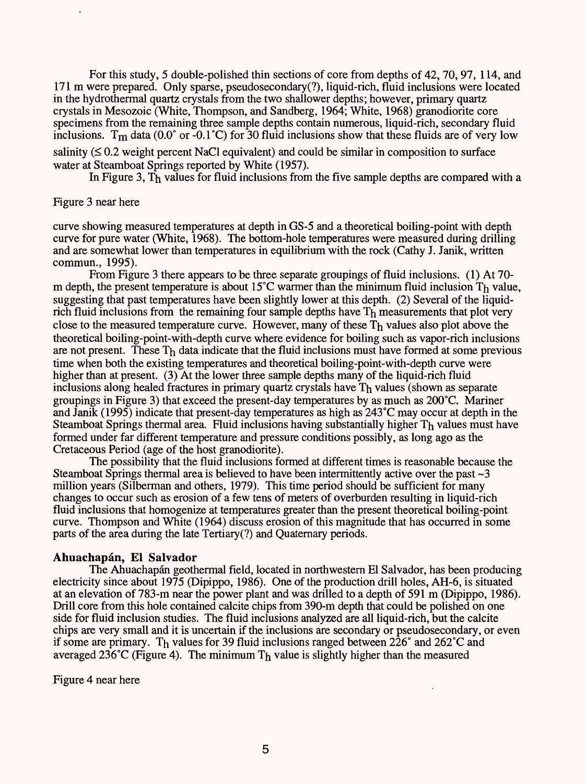For this study, 5 double-polished thin sections of core from depths of 42, 70, 97, 114, and 171 m were prepared. Only sparse, pseudosecondary(?), liquid-rich, fluid inclusions were located in the hydrothermal quartz crystals from the two shallower depths; however, primary quartz crystals in Mesozoic (White, Thompson, and Sandberg, 1964; White, 1968) granodiorite core specimens from the remaining three sample depths contain numerous, liquid-rich, secondary fluid inclusions. T<sub>m</sub> data (0.0° or  $\text{-}0.1\textdegree C$ ) for 30 fluid inclusions show that these fluids are of very low

salinity  $(\leq 0.2$  weight percent NaCl equivalent) and could be similar in composition to surface water at Steamboat Springs reported by White (1957).

In Figure 3, Th values for fluid inclusions from the five sample depths are compared with a

#### Figure 3 near here

curve showing measured temperatures at depth in GS-5 and a theoretical boiling-point with depth curve for pure water (White, 1968). The bottom-hole temperatures were measured during drilling and are somewhat lower than temperatures in equilibrium with the rock (Cathy J. Janik, written commun., 1995).

From Figure 3 there appears to be three separate groupings of fluid inclusions. (1) At 70 m depth, the present temperature is about 15°C warmer than the minimum fluid inclusion Th value, suggesting that past temperatures have been slightly lower at this depth. (2) Several of the liquidrich fluid inclusions from the remaining four sample depths have  $T<sub>h</sub>$  measurements that plot very close to the measured temperature curve. However, many of these  $T<sub>h</sub>$  values also plot above the theoretical boiling-point-with-depth curve where evidence for boiling such as vapor-rich inclusions are not present. These  $T<sub>h</sub>$  data indicate that the fluid inclusions must have formed at some previous time when both the existing temperatures and theoretical boiling-point-with-depth curve were higher than at present. (3) At the lower three sample depths many of the liquid-rich fluid inclusions along healed fractures in primary quartz crystals have Th values (shown as separate groupings in Figure 3) that exceed the present-day temperatures by as much as 200°C. Mariner and Janik (1995) indicate that present-day temperatures as high as 243 °C may occur at depth in the Steamboat Springs thermal area. Fluid inclusions having substantially higher  $T<sub>h</sub>$  values must have formed under far different temperature and pressure conditions possibly, as long ago as the Cretaceous Period (age of the host granodiorite).

The possibility that the fluid inclusions formed at different times is reasonable because the Steamboat Springs thermal area is believed to have been intermittently active over the past  $\sim$ 3 million years (Silberman and others, 1979). This time period should be sufficient for many changes to occur such as erosion of a few tens of meters of overburden resulting in liquid-rich fluid inclusions that homogenize at temperatures greater than the present theoretical boiling-point curve. Thompson and White (1964) discuss erosion of this magnitude that has occurred in some parts of the area during the late Tertiary(?) and Quaternary periods.

#### **Ahuachapan, £1 Salvador**

The Ahuachapan geothermal field, located in northwestern El Salvador, has been producing electricity since about 1975 (Dipippo, 1986). One of the production drill holes, AH-6, is situated at an elevation of 783-m near the power plant and was drilled to a depth of 591 m (Dipippo, 1986). Drill core from this hole contained calcite chips from 390-m depth that could be polished on one side for fluid inclusion studies. The fluid inclusions analyzed are all liquid-rich, but the calcite chips are very small and it is uncertain if the inclusions are secondary or pseudosecondary, or even if some are primary. Th values for 39 fluid inclusions ranged between  $226^{\circ}$  and  $262^{\circ}$ C and averaged 236°C (Figure 4). The minimum  $T<sub>h</sub>$  value is slightly higher than the measured

Figure 4 near here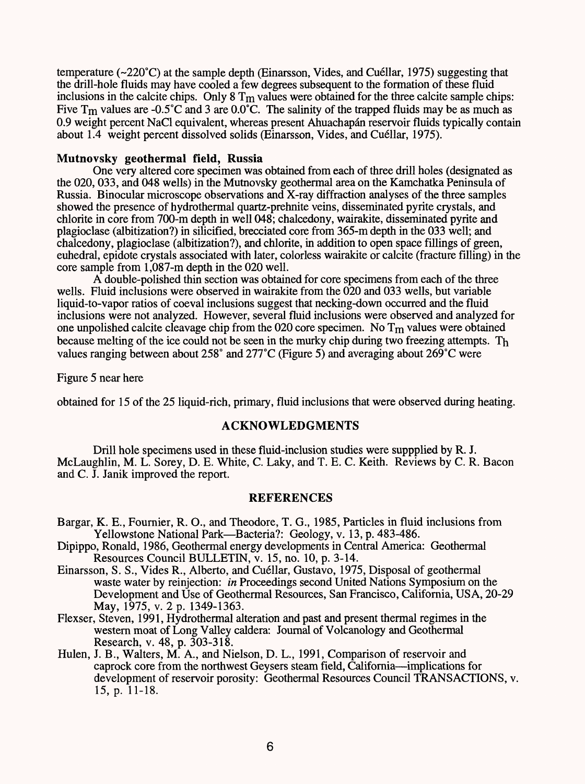temperature (~220°C) at the sample depth (Einarsson, Vides, and Cuellar, 1975) suggesting that the drill-hole fluids may have cooled a few degrees subsequent to the formation of these fluid inclusions in the calcite chips. Only  $8 T<sub>m</sub>$  values were obtained for the three calcite sample chips: Five  $T_m$  values are -0.5°C and 3 are 0.0°C. The salinity of the trapped fluids may be as much as 0.9 weight percent NaCl equivalent, whereas present Ahuachapán reservoir fluids typically contain about 1.4 weight percent dissolved solids (Einarsson, Vides, and Cuellar, 1975).

#### **Mutnovsky geothermal field, Russia**

One very altered core specimen was obtained from each of three drill holes (designated as the 020, 033, and 048 wells) in the Mutnovsky geothermal area on the Kamchatka Peninsula of Russia. Binocular microscope observations and X-ray diffraction analyses of the three samples showed the presence of hydrothermal quartz-prehnite veins, disseminated pyrite crystals, and chlorite in core from 700-m depth in well 048; chalcedony, wairakite, disseminated pyrite and plagioclase (albitization?) in silicified, brecciated core from 365-m depth in the 033 well; and chalcedony, plagioclase (albitization?), and chlorite, in addition to open space fillings of green, euhedral, epidote crystals associated with later, colorless wairakite or calcite (fracture filling) in the core sample from 1,087-m depth in the 020 well.

A double-polished thin section was obtained for core specimens from each of the three wells. Fluid inclusions were observed in wairakite from the 020 and 033 wells, but variable liquid-to-vapor ratios of coeval inclusions suggest that necking-down occurred and the fluid inclusions were not analyzed. However, several fluid inclusions were observed and analyzed for one unpolished calcite cleavage chip from the 020 core specimen. No  $T_m$  values were obtained because melting of the ice could not be seen in the murky chip during two freezing attempts. Th values ranging between about 258° and 277°C (Figure 5) and averaging about 269°C were

Figure 5 near here

obtained for 15 of the 25 liquid-rich, primary, fluid inclusions that were observed during heating.

## **ACKNOWLEDGMENTS**

Drill hole specimens used in these fluid-inclusion studies were suppplied by R. J. McLaughlin, M. L. Sorey, D. E. White, C. Laky, and T. E. C. Keith. Reviews by C. R. Bacon and C. J. Janik improved the report.

## **REFERENCES**

- Bargar, K. E., Fournier, R. O., and Theodore, T. G., 1985, Particles in fluid inclusions from Yellowstone National Park—Bacteria?: Geology, v. 13, p. 483-486.
- Dipippo, Ronald, 1986, Geothermal energy developments in Central America: Geothermal Resources Council BULLETIN, v. 15, no. 10, p. 3-14.
- Einarsson, S. S., Vides R., Alberto, and Cuellar, Gustavo, 1975, Disposal of geothermal waste water by reinjection: *in* Proceedings second United Nations Symposium on the Development and Use of Geothermal Resources, San Francisco, California, USA, 20-29 May, 1975, v. 2 p. 1349-1363.
- Flexser, Steven, 1991, Hydrothermal alteration and past and present thermal regimes in the western moat of Long Valley caldera: Journal of Volcanology and Geothermal Research, v. 48, p. 303-318.
- Hulen, J. B., Walters, M. A., and Nielson, D. L., 1991, Comparison of reservoir and caprock core from the northwest Geysers steam field. California—implications for development of reservoir porosity: Geothermal Resources Council TRANSACTIONS, v. 15, p. 11-18.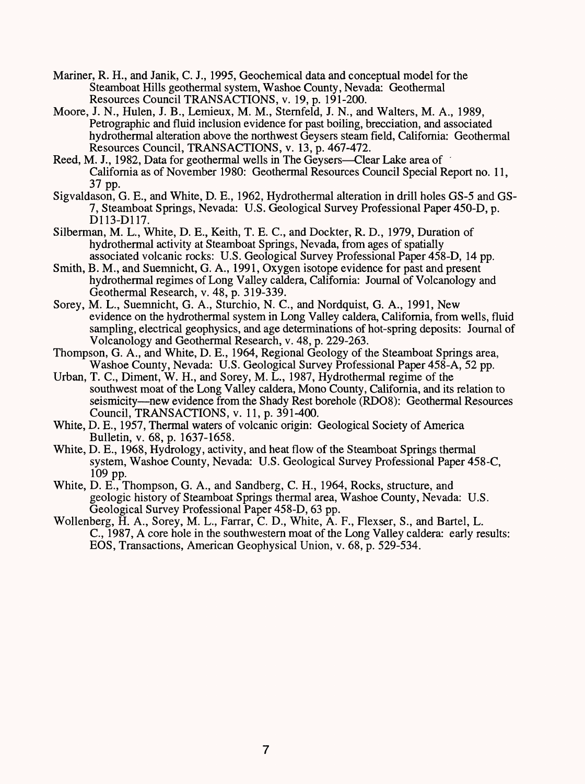- Mariner, R. H., and Janik, C. J., 1995, Geochemical data and conceptual model for the Steamboat Hills geothermal system, Washoe County, Nevada: Geothermal Resources Council TRANSACTIONS, v. 19, p. 191-200.
- Moore, J. N., Hulen, J. B., Lemieux, M. M., Sternfeld, J. N., and Walters, M. A., 1989, Petrographic and fluid inclusion evidence for past boiling, brecciation, and associated hydrothermal alteration above the northwest Geysers steam field, California: Geothermal Resources Council, TRANSACTIONS, v. 13, p. 467-472.
- Reed, M. J., 1982, Data for geothermal wells in The Geysers—Clear Lake area of California as of November 1980: Geothermal Resources Council Special Report no. 11, 37 pp.
- Sigvaldason, G. E., and White, D. E., 1962, Hydrothermal alteration in drill holes GS-5 and GS-7, Steamboat Springs, Nevada: U.S. Geological Survey Professional Paper 450-D, p. D113-D117.
- Silberman, M. L., White, D. E., Keith, T. E. C., and Dockter, R. D., 1979, Duration of hydrothermal activity at Steamboat Springs, Nevada, from ages of spatially associated volcanic rocks: U.S. Geological Survey Professional Paper 458-D, 14 pp.
- Smith, B. M., and Suemnicht, G. A., 1991, Oxygen isotope evidence for past and present hydrothermal regimes of Long Valley caldera, California: Journal of Volcanology and Geothermal Research, v. 48, p. 319-339.
- Sorey, M. L., Suemnicht, G. A., Sturchio, N. C., and Nordquist, G. A., 1991, New evidence on the hydrothermal system in Long Valley caldera, California, from wells, fluid sampling, electrical geophysics, and age determinations of hot-spring deposits: Journal of Volcanology and Geothermal Research, v. 48, p. 229-263.
- Thompson, G. A., and White, D. E., 1964, Regional Geology of the Steamboat Springs area, Washoe County, Nevada: U.S. Geological Survey Professional Paper 458-A, 52 pp.
- Urban, T. C., Diment, W. H., and Sorey, M. L., 1987, Hydrothermal regime of the southwest moat of the Long Valley caldera, Mono County, California, and its relation to seismicity—new evidence from the Shady Rest borehole (RDO8): Geothermal Resources Council, TRANSACTIONS, v. 11, p. 391-400.
- White, D. E., 1957, Thermal waters of volcanic origin: Geological Society of America Bulletin, v. 68, p. 1637-1658.
- White, D. E., 1968, Hydrology, activity, and heat flow of the Steamboat Springs thermal system, Washoe County, Nevada: U.S. Geological Survey Professional Paper 458-C, 109 pp.
- White, D. E., Thompson, G. A., and Sandberg, C. H., 1964, Rocks, structure, and geologic history of Steamboat Springs thermal area, Washoe County, Nevada: U.S. Geological Survey Professional Paper 458-D, 63 pp.
- Wollenberg, H. A., Sorey, M. L., Farrar, C. D., White, A. F., Flexser, S., and Bartel, L. C., 1987, A core hole in the southwestern moat of the Long Valley caldera: early results: EOS, Transactions, American Geophysical Union, v. 68, p. 529-534.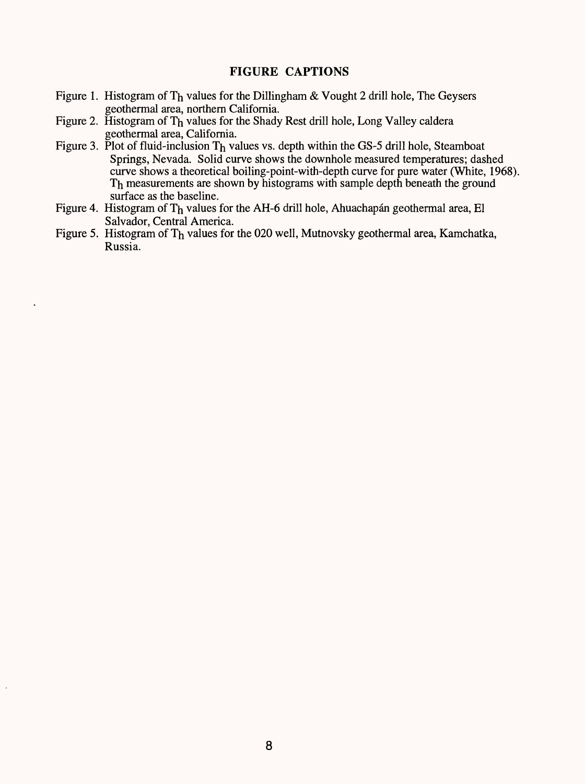## **FIGURE CAPTIONS**

- Figure 1. Histogram of Th values for the Dillingham & Vought 2 drill hole, The Geysers geothermal area, northern California.
- Figure 2. Histogram of T<sub>h</sub> values for the Shady Rest drill hole, Long Valley caldera geothermal area, California.
- Figure 3. Plot of fluid-inclusion  $T_h$  values vs. depth within the GS-5 drill hole, Steamboat Springs, Nevada. Solid curve shows the downhole measured temperatures; dashed curve shows a theoretical boiling-point-with-depth curve for pure water (White, 1968). Th measurements are shown by histograms with sample depth beneath the ground surface as the baseline.
- Figure 4. Histogram of Th values for the AH-6 drill hole, Ahuachapán geothermal area, El Salvador, Central America.
- Figure 5. Histogram of Th values for the 020 well, Mutnovsky geothermal area, Kamchatka, Russia.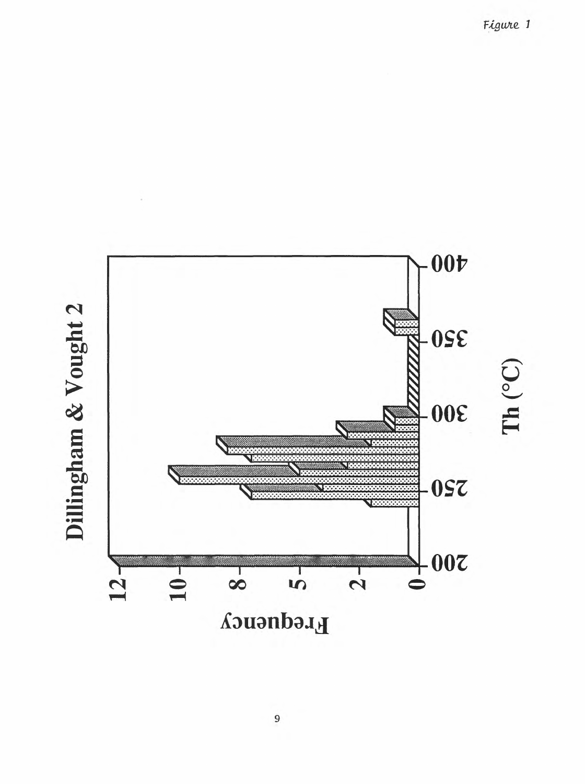**400** S **350 bio**  $\overline{\mathbf{c}}$ **300**  $\overline{\mathbf{v}}$ sr **EO 250 200**  $12<sub>1</sub>$  $10 \overline{\phantom{a}}$  $\frac{1}{2}$  $\frac{1}{8}$  $\overline{5}$ **Frequency** 

 $\blacksquare$ sr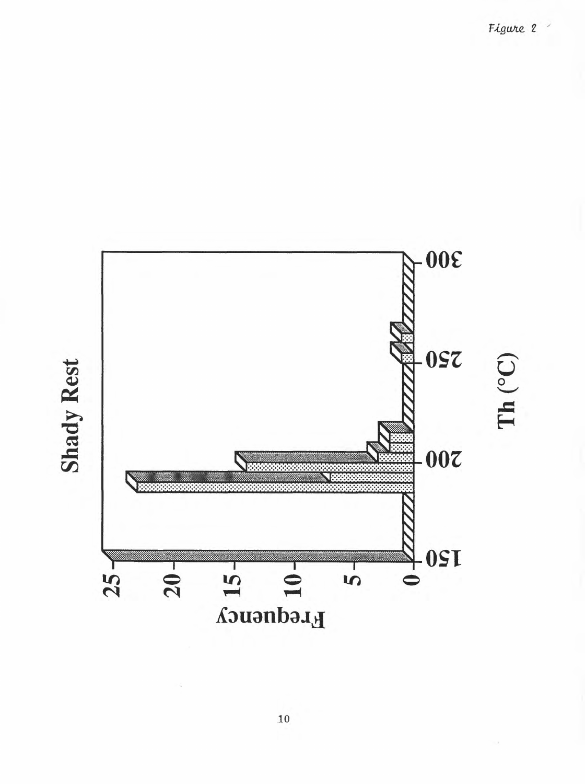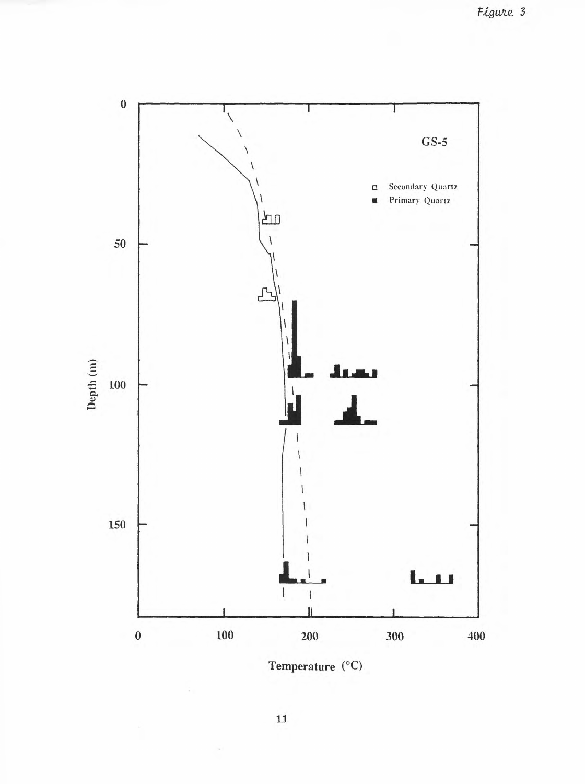

Temperature  $(^{\circ}C)$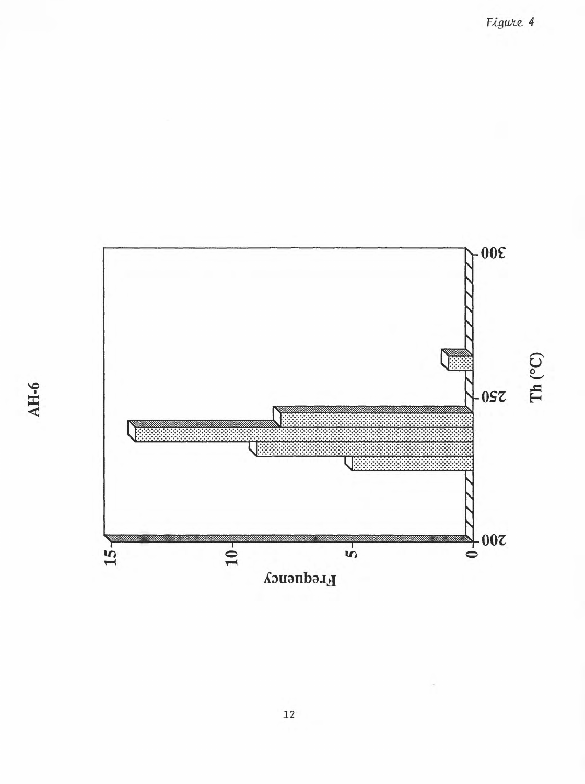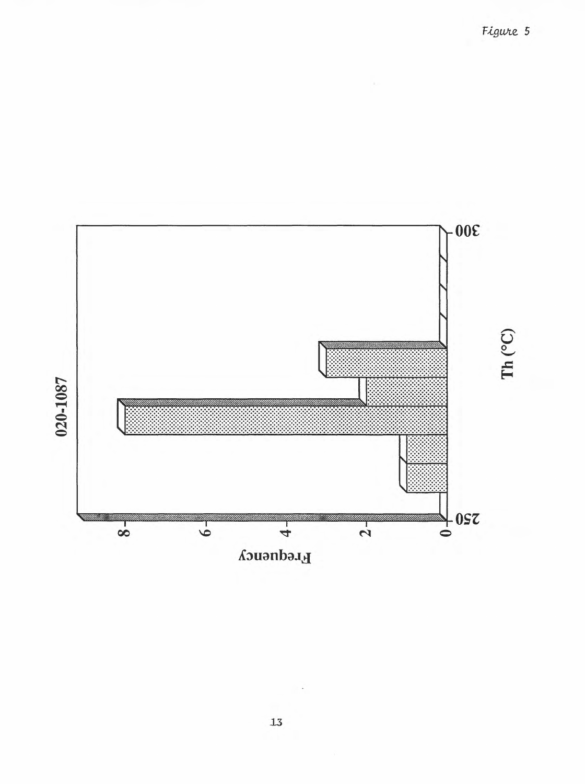$-00<sup>2</sup>$  $\mathbf{Th}$  (°C) 020-1087  $\frac{1}{\epsilon}$  0sz  $\bullet$  $\frac{1}{\alpha}$  $\frac{1}{8}$  $\frac{1}{4}$ Frequency